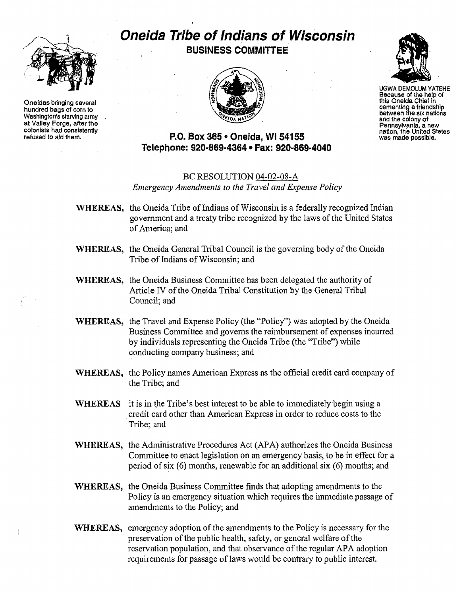

Oneidas bringing several hundred bags of corn to Washington's starving army at Valley Forge, after the colonists had consistently refused to aid them.

# **Oneida Tribe of Indians of Wisconsin BUSINESS COMMITTEE**





UGWA DEMOLUM YATEHE Because of the help of this OneIda Chief in cementing a friendship between the six nations and the colony of Pennsylvania, a new nation, the United States was made possible.

## **P.O. Box 365· Oneida,** WI 54155 **Telephone: 920-869-4364 • Fax: 920-869-4040**

### BC RESOLUTION 04-02-08-A *Emergency Amendments to the Travel and Expense Policy*

- WHEREAS, the Oneida Tribe of Indians of Wisconsin is a federally recognized Indian government and a treaty tribe recognized by the laws of the United States ofAmerica; and
- WHEREAS, the Oneida General Tribal Council is the governing body of the Oneida Tribe of Indians of Wisconsin; and
- WHEREAS, the Oneida Business Committee has been delegated the authority of Article IV of the Oneida Tribal Constitution by the General Tribal Council; and
- WHEREAS, the Travel and Expense Policy (the "Policy") was adopted by the Oneida Business Committee and governs the reimbursement of expenses incurred by individuals representing the Oneida Tribe (the "Tribe") while conducting company business; and
- WHEREAS, the Policy names American Express as the official credit card company of the Tribe; and
- WHEREAS it is in the Tribe's best interest to be able to immediately begin using a credit card other than American Express in order to reduce costs to the Tribe; and
- WHEREAS, the Administrative Procedures Act (APA) authorizes the Oneida Business Committee to enact legislation on an emergency basis; to be in effect for a period of six  $(6)$  months, renewable for an additional six  $(6)$  months; and
- WHEREAS, the Oneida Business Committee finds that adopting amendments to the Policy is an emergency situation which requires the immediate passage of amendments to the Policy; and
- WHEREAS, emergency adoption of the amendments to the Policy is necessary for the preservation of the public health, safety, or general welfare of the reservation population, and that observance of the regular APA adoption requirements for passage of laws would be contrary to public interest.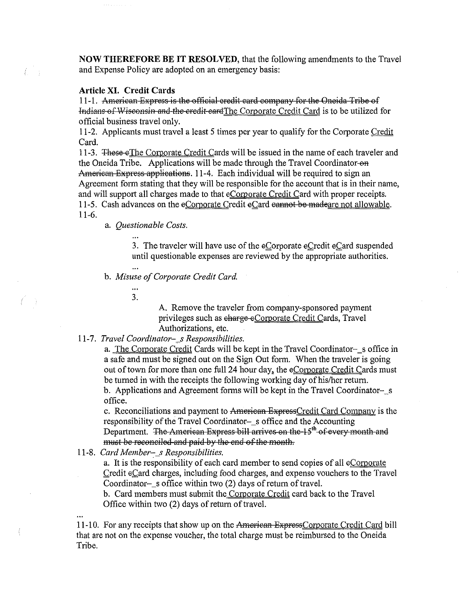NOW THEREFORE BE IT RESOLVED, that the following amendments to the Travel and Expense Policy are adopted on an emergency basis:

#### Article XI. Credit Cards

11-1. American Express is the official credit card company for the Oneida Tribe of Indians of Wisconsin and the credit eard The Corporate Credit Card is to be utilized for official business travel only.

11-2. Applicants must travel a least 5 times per year to qualify for the Corporate Credit Card.

11-3. These eThe Corporate Credit Cards will be issued in the name of each traveler and the Oneida Tribe. Applications will be made through the Travel Coordinator-on American Express applications. 11-4. Each individual will be required to sign an Agreement form stating that they will be responsible for the account that is in their name, and will support all charges made to that eCorporate Credit Card with proper receipts. 11-5. Cash advances on the eCorporate Credit eCard cannot be madeare not allowable.  $11 - 6$ .

a. Questionable Costs.

3. The traveler will have use of the eCorporate eCredit eCard suspended until questionable expenses are reviewed by the appropriate authorities.

b. Misuse of Corporate Credit Card.

 $3<sub>1</sub>$ 

A. Remove the traveler from company-sponsored payment privileges such as charge eCorporate Credit Cards, Travel Authorizations, etc.

#### 11-7. Travel Coordinator-\_s Responsibilities.

a. The Corporate Credit Cards will be kept in the Travel Coordinator-s office in a safe and must be signed out on the Sign Out form. When the traveler is going out of town for more than one full 24 hour day, the eCorporate Credit Cards must be turned in with the receipts the following working day of his/her return. b. Applications and Agreement forms will be kept in the Travel Coordinator-s office.

c. Reconciliations and payment to American ExpressCredit Card Company is the responsibility of the Travel Coordinator-s office and the Accounting Department. The American Express bill arrives on the 15<sup>th</sup> of every month and must be reconciled and paid by the end of the month.

11-8. Card Member-s Responsibilities.

a. It is the responsibility of each card member to send copies of all eCorporate Credit eCard charges, including food charges, and expense vouchers to the Travel Coordinator-s office within two  $(2)$  days of return of travel.

b. Card members must submit the Corporate Credit card back to the Travel Office within two (2) days of return of travel.

11-10. For any receipts that show up on the American ExpressCorporate Credit Card bill that are not on the expense voucher, the total charge must be reimbursed to the Oneida Tribe